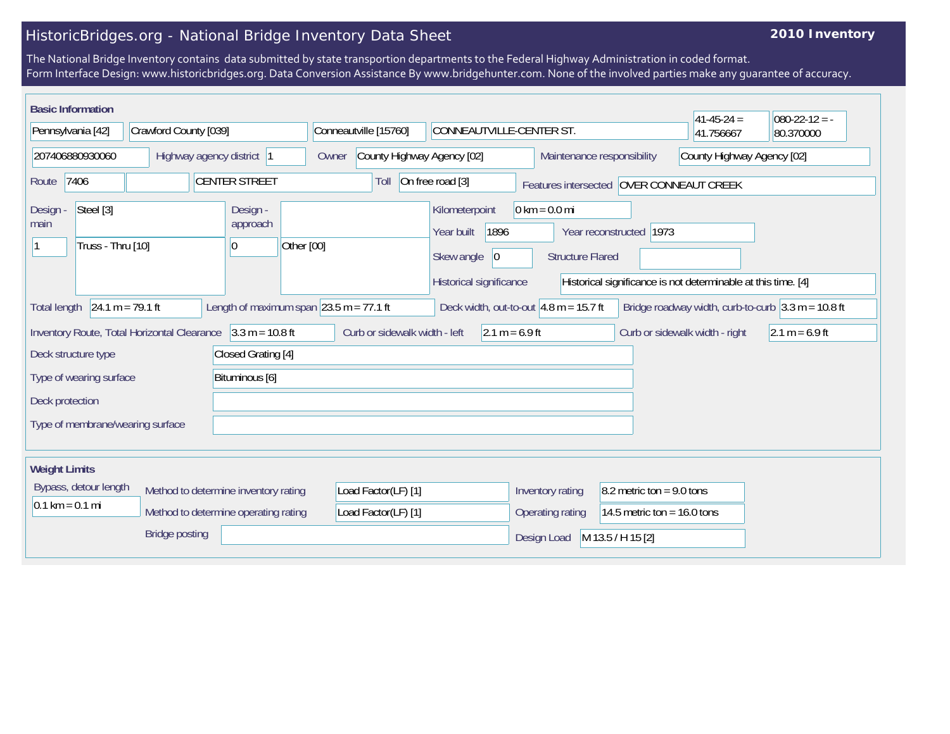## HistoricBridges.org - National Bridge Inventory Data Sheet

## **2010 Inventory**

The National Bridge Inventory contains data submitted by state transportion departments to the Federal Highway Administration in coded format. Form Interface Design: www.historicbridges.org. Data Conversion Assistance By www.bridgehunter.com. None of the involved parties make any guarantee of accuracy.

| <b>Basic Information</b><br>Pennsylvania [42]                                                                                                                                                                                                                                      | Crawford County [039] |                                            | Conneautville [15760]         | CONNEAUTVILLE-CENTER ST.                                                                             |                                                            |                            | $41 - 45 - 24 =$<br>41.756667  | $080-22-12 = -$<br>80.370000 |
|------------------------------------------------------------------------------------------------------------------------------------------------------------------------------------------------------------------------------------------------------------------------------------|-----------------------|--------------------------------------------|-------------------------------|------------------------------------------------------------------------------------------------------|------------------------------------------------------------|----------------------------|--------------------------------|------------------------------|
| 207406880930060<br>Highway agency district 1                                                                                                                                                                                                                                       |                       | County Highway Agency [02]<br>Owner        |                               | Maintenance responsibility                                                                           |                                                            | County Highway Agency [02] |                                |                              |
| 7406<br>Route                                                                                                                                                                                                                                                                      |                       | <b>CENTER STREET</b>                       | Toll                          | On free road [3]                                                                                     | Features intersected OVER CONNEAUT CREEK                   |                            |                                |                              |
| Steel [3]<br>Design -<br>main<br>Truss - Thru [10]                                                                                                                                                                                                                                 |                       | Design -<br>approach<br>Other [00]<br> 0   |                               | Kilometerpoint<br>1896<br>Year built<br>Skew angle<br>$ 0\rangle$<br>Historical significance         | $0 \text{ km} = 0.0 \text{ mi}$<br><b>Structure Flared</b> | Year reconstructed 1973    |                                |                              |
| Historical significance is not determinable at this time. [4]<br>$24.1 m = 79.1 ft$<br>Length of maximum span $\sqrt{23.5}$ m = 77.1 ft<br>Bridge roadway width, curb-to-curb $3.3 \text{ m} = 10.8 \text{ ft}$<br>Deck width, out-to-out $4.8$ m = 15.7 ft<br><b>Total length</b> |                       |                                            |                               |                                                                                                      |                                                            |                            |                                |                              |
| Inventory Route, Total Horizontal Clearance 3.3 m = 10.8 ft<br>Deck structure type                                                                                                                                                                                                 |                       | Closed Grating [4]                         | Curb or sidewalk width - left | $2.1 m = 6.9 ft$                                                                                     |                                                            |                            | Curb or sidewalk width - right | $2.1 m = 6.9 ft$             |
| Bituminous [6]<br>Type of wearing surface                                                                                                                                                                                                                                          |                       |                                            |                               |                                                                                                      |                                                            |                            |                                |                              |
| Deck protection<br>Type of membrane/wearing surface                                                                                                                                                                                                                                |                       |                                            |                               |                                                                                                      |                                                            |                            |                                |                              |
| <b>Weight Limits</b>                                                                                                                                                                                                                                                               |                       |                                            |                               |                                                                                                      |                                                            |                            |                                |                              |
| Bypass, detour length<br>Method to determine inventory rating<br>$0.1 \text{ km} = 0.1 \text{ mi}$<br>Method to determine operating rating                                                                                                                                         |                       | Load Factor(LF) [1]<br>Load Factor(LF) [1] |                               | Inventory rating<br>8.2 metric ton = $9.0$ tons<br>14.5 metric ton = $16.0$ tons<br>Operating rating |                                                            |                            |                                |                              |
|                                                                                                                                                                                                                                                                                    | <b>Bridge posting</b> |                                            |                               |                                                                                                      | Design Load                                                | M 13.5 / H 15 [2]          |                                |                              |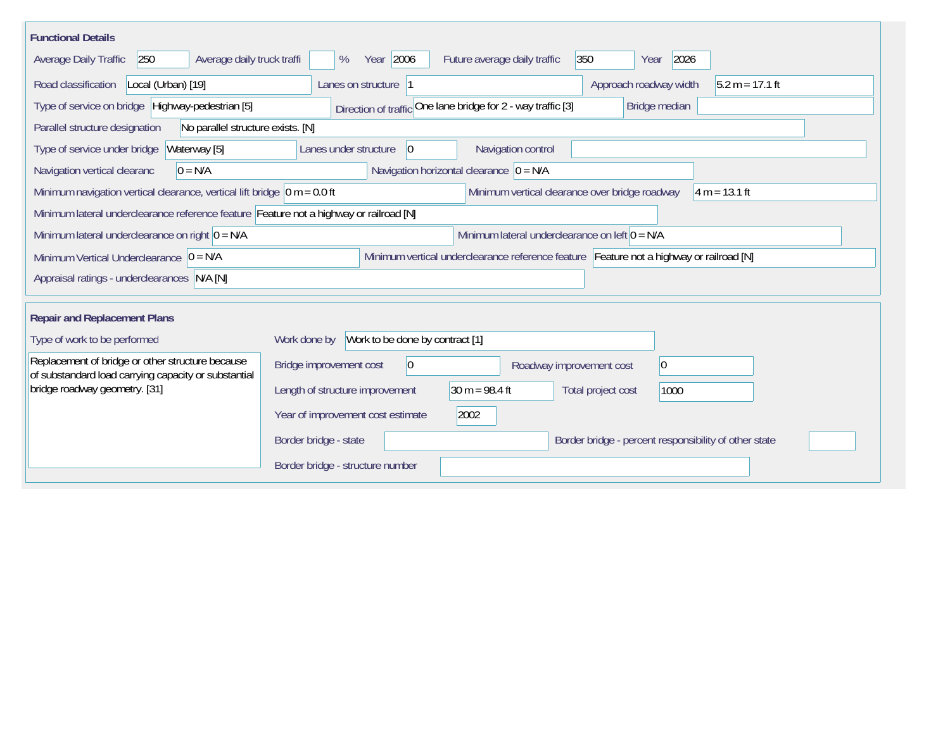| <b>Functional Details</b>                                                                                                             |                                                                                      |                                                              |                                                       |  |  |  |
|---------------------------------------------------------------------------------------------------------------------------------------|--------------------------------------------------------------------------------------|--------------------------------------------------------------|-------------------------------------------------------|--|--|--|
| 250<br>Average daily truck traffi<br>Average Daily Traffic                                                                            | Year 2006<br>%                                                                       | 350<br>Future average daily traffic                          | 2026<br>Year                                          |  |  |  |
| Road classification<br>Local (Urban) [19]                                                                                             | Lanes on structure  1                                                                |                                                              | Approach roadway width<br>$5.2 m = 17.1 ft$           |  |  |  |
| Type of service on bridge Highway-pedestrian [5]                                                                                      |                                                                                      | Direction of traffic One lane bridge for 2 - way traffic [3] | Bridge median                                         |  |  |  |
| Parallel structure designation<br>No parallel structure exists. [N]                                                                   |                                                                                      |                                                              |                                                       |  |  |  |
| Waterway [5]<br>Type of service under bridge                                                                                          | 0 <br>Lanes under structure                                                          | Navigation control                                           |                                                       |  |  |  |
| Navigation vertical clearanc<br>$0 = N/A$                                                                                             |                                                                                      | Navigation horizontal clearance $ 0 = N/A$                   |                                                       |  |  |  |
| Minimum navigation vertical clearance, vertical lift bridge $ 0 m = 0.0 ft$                                                           |                                                                                      | Minimum vertical clearance over bridge roadway               | $4 m = 13.1 ft$                                       |  |  |  |
| Minimum lateral underclearance reference feature Feature not a highway or railroad [N]                                                |                                                                                      |                                                              |                                                       |  |  |  |
| Minimum lateral underclearance on right $ 0 = N/A$                                                                                    | Minimum lateral underclearance on left $0 = N/A$                                     |                                                              |                                                       |  |  |  |
| Minimum vertical underclearance reference feature Feature not a highway or railroad [N]<br>Minimum Vertical Underclearance $ 0 = N/A$ |                                                                                      |                                                              |                                                       |  |  |  |
| Appraisal ratings - underclearances N/A [N]                                                                                           |                                                                                      |                                                              |                                                       |  |  |  |
|                                                                                                                                       |                                                                                      |                                                              |                                                       |  |  |  |
| <b>Repair and Replacement Plans</b>                                                                                                   |                                                                                      |                                                              |                                                       |  |  |  |
| Type of work to be performed                                                                                                          | Work to be done by contract [1]<br>Work done by                                      |                                                              |                                                       |  |  |  |
| Replacement of bridge or other structure because<br>of substandard load carrying capacity or substantial                              | Bridge improvement cost<br>$\overline{0}$<br>$ 0\rangle$<br>Roadway improvement cost |                                                              |                                                       |  |  |  |
| bridge roadway geometry. [31]                                                                                                         | Length of structure improvement                                                      | 30 m = $98.4$ ft                                             | Total project cost<br>1000                            |  |  |  |
|                                                                                                                                       | Year of improvement cost estimate                                                    | 2002                                                         |                                                       |  |  |  |
|                                                                                                                                       | Border bridge - state                                                                |                                                              | Border bridge - percent responsibility of other state |  |  |  |
|                                                                                                                                       | Border bridge - structure number                                                     |                                                              |                                                       |  |  |  |